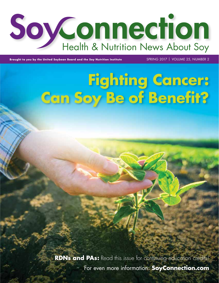

**Brought to you by the United Soybean Board and the Soy Nutrition Institute** SPRING 2017 | VOLUME 25, NUMBER 2

# **Fighting Cancer: Can Soy Be of Benefit?**

**RDNs and PAs:** Read this issue for continuing education credits! For even more information: **[SoyConnection.com](http://www.soyconnection.com)**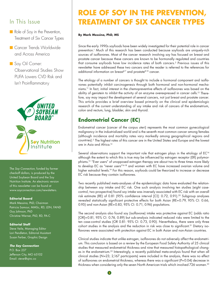## In This Issue

- Role of Soy in the Prevention, Treatment of Six Cancer Types
- Cancer Trends Worldwide and Across America

■ Soy Oil Corner: Observational Studies Show PUFA Lowers CVD Risk and Isn't Proinflammatory



The *Soy Connection,* funded by farmer checkoff dollars, is produced by the United Soybean Board and the Soy Nutrition Institute. An electronic version of this newsletter can be found at <www.soyconnection.com/newsletters>.

#### **Editorial Board**

Mark Messina, PhD, Chairman Patricia Samour, MMSc, RD, LDN, FAND Guy Johnson, PhD Christine Werner, PhD, RD, PA-C

#### **Editorial Staff**

Steve Veile, Managing Editor Lori Pendleton, Editorial Assistant Susan Ferber, Graphic Design

#### *The Soy Connection*

P.O. Box 237 Jefferson City, MO 65102 Email: [steve@qinc.co](mailto:steve@qinc.co)

## **ROLE OF SOY IN THE PREVENTION, TREATMENT OF SIX CANCER TYPES**

#### **By Mark Messina, PhD, MS**

Since the early 1990s soyfoods have been widely investigated for their potential role in cancer prevention.<sup>1</sup> Much of this research has been conducted because soyfoods are uniquely-rich sources of isoflavones. Most of the cancer research involving soy has focused on breast and prostate cancer because these cancers are known to be hormonally regulated and countries that consume soyfoods have low incidence rates of both cancers.2 Previous issues of this newsletter have addressed these two cancers and the reader is referred to the references for additional information on breast<sup>3-7</sup> and prostate<sup>8-10</sup> cancer.

The etiology of a number of cancers is thought to include a hormonal component and isoflavones potentially inhibit carcinogenesis through both hormonal and non-hormonal mechanisms.11 In fact, initial interest in the chemopreventive effects of isoflavones was based on the ability of genistein to inhibit the activity of an enzyme overexpressed in cancer cells.12 Therefore, soy may impact the development of several cancers, not just breast and prostate cancer. This article provides a brief overview based primarily on the clinical and epidemiologic research of the current understanding of soy intake and risk of cancers of the endometrium, colon and rectum, lung, bladder, skin and thyroid.

## **Endometrial Cancer (EC)**

Endometrial cancer (cancer of the corpus uteri) represents the most common gynecological malignancy in the industrialized world and is the seventh most common cancer among females (although incidence and mortality rates vary markedly among geographical regions and countries).2 The highest rates of this cancer are in the United States and Europe and the lowest are in Asia and Africa.13

Several observations support the important role that estrogen plays in the etiology of EC<sup>14</sup> although the extent to which this is true may be influenced by estrogen receptor (ER) polymorphisms.15 "Ever users" of unopposed estrogen therapy are about two to three times more likely to develop EC as "never users"<sup>16-18</sup> and women with EC have increased ovarian volume and higher estradiol levels.<sup>19</sup> For this reason, soyfoods could be theorized to increase or decrease EC risk because they contain isoflavones.

Two recently published meta-analyses of the epidemiologic data have evaluated the relationship between soy intake and EC risk. One such analysis involving ten studies (eight casecontrol, two prospective) found soy intake was inversely associated with EC risk with an overall risk estimate (RE) of 0.81 (95% confidence interval [CI]: 0.72, 0.91).20 Subgroup analyses revealed statistically significant protective effects for both Asian (RE=0.79, 95% CI: 0.66, 0.95) and non-Asian (RE=0.83, 95% CI: 0.71, 0.96) populations.

The second analysis also found soy (isoflavone) intake was protective against EC (odds ratio [OR]=0.81, 95% CI: 0.74, 0.89) but sub-analysis indicated reduced risks were limited to the ten case-control studies (OR 0.81: 95% CI: 0.73, 0.90). Nevertheless, there were only three cohort studies in the analysis and the reduction in risk was close to significant.<sup>21</sup> Dietary isoflavones were associated with protection against EC in both Asian and non-Asian countries.

Clinical studies indicate that unlike estrogen, isoflavones do not adversely affect the endometrium. This conclusion is based on a review by the European Food Safety Authority of 25 clinical studies that measured endometrial thickness and nine that measured histopathological changes in the endometrium.<sup>22</sup> Interestingly, a recently published meta-analysis found that when all clinical studies (N=23; 2,167 participants) were included in the analysis, there was no effect of isoflavones on endometrial thickness, whereas there was a significant (P=0.04) decrease in thickness when considering only the seven North American trials which involved 726 women.<sup>23</sup>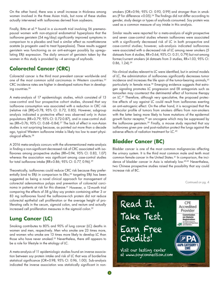On the other hand, there was a small increase in thickness among women involved in the three Asian trials, but none of these studies actually intervened with isoflavones derived from soybeans.

Finally, Bitto et al.<sup>24</sup> found in a six-month trial involving 56 premenopausal women with non-atypical endometrial hyperplasia that the isoflavone genistein (54 mg/day) significantly improved symptoms in comparison to a placebo and had a similar effect as norethisterone acetate (a progestin used to treat hyperplasia). These results suggest genistein was functioning as an anti-estrogen possibly by upregulating ERβ expression. The daily amount of genistein taken by the women in this study is provided by ~4 servings of soyfoods.

## **Colorectal Cancer (CRC)**

Colorectal cancer is the third most prevalent cancer worldwide and one of the most common solid carcinomas in Western countries.<sup>25</sup> CRC incidence rates are higher in developed nations than in developing countries.<sup>26</sup>

A meta-analysis of 17 epidemiologic studies, which consisted of 13 case-control and four prospective cohort studies, showed that soy isoflavone consumption was associated with a reduction in CRC risk (relative risk [RR]=0.78, 95% CI: 0.72, 0.85). However, subgroup analysis indicated a protective effect was observed only in Asian populations (RR=0.79; 95% CI: 0.72-0.87), and in case-control studies (RR=0.76; 95% CI: 0.68–0.84).27 The lack of effect in non-Asian studies is not surprising because, as pointed out more than a decade ago, typical Western isoflavone intake is likely too low to exert physiological effects.28

A 2016 meta-analysis concurs with the aforementioned meta-analysis in finding a non-significant decreased risk of CRC associated with isoflavones among prospective studies (RR=0.94, 95% CI: 0.83, 1.07) whereas the association was significant among case-control studies for total isoflavone intake (RR=0.86; 95% CI: 0.77, 0.96).29

Theoretically, isoflavones could reduce CRC risk because they preferentially bind to ERβ in comparison to ER $\alpha;^{30}$  targeting ERβ has been suggested as being a novel clinical approach for management of colorectal adenomatous polyps and prevention of colorectal carcinoma in patients at risk for this disease.31 However, a 12-month trial comparing the effects of 58 g/day soy protein containing either 3 or 83 mg isoflavones found the isoflavone-rich protein did not reduce colorectal epithelial cell proliferation or the average height of proliferating cells in the cecum, sigmoid colon, and rectum and actually increased cell proliferation measures in the sigmoid colon.<sup>32</sup>

## **Lung Cancer (LC)**

Smoking contributes to 80% and 90% of lung cancer (LC) deaths in women and men, respectively. Men who smoke are 23 times more, and women who smoke are 13 times more likely to develop LC than those who have never smoked.<sup>33</sup> Nevertheless, there still appears to be a role for lifestyle in the etiology of LC.

A meta-analysis of 11 epidemiologic studies found an inverse association between soy protein intake and risk of LC that was of borderline statistical significance (OR=0.98, 95% CI: 0.96, 1.00). Sub-analysis indicated the inverse association was statistically significant in nonsmokers (OR=0.96; 95% CI: 0.93, 0.99) and stronger than in smokers (P for difference <0.05).<sup>34</sup> The findings did not differ according to gender, study design or types of soyfoods consumed. Soy protein was used as a common measure of soy intake in this analysis.

Similar results were reported for a meta-analysis of eight prospective and seven case-control studies wherein isoflavones were associated with a significantly decreased risk of LC in both prospective and case-control studies; however, sub-analysis indicated isoflavones were associated with a decreased risk of LC among never smokers (5 datasets from 4 studies, RR=0.64, 95% CI: 0.51, 0.79) but not among former/current smokers (4 datasets from 3 studies, RR=1.03, 95% CI: 0.86, 1.24).29

No clinical studies relevant to LC were identified, but in animal models of LC, the administration of isoflavones significantly decreases tumor incidence and increases the life span of the tumor-bearing animals, 35 particularly in female mice.<sup>36</sup> Emerging evidence suggests that estrogen signaling promotes LC progression and ER antagonists such as tamoxifen may counteract the detrimental effect of hormone therapy on LC.37 Therefore, although very speculative, the proposed protective effects of soy against LC could result from isoflavones exerting an anti-estrogenic effect. On the other hand, it is recognized that the molecular profile of tumors from smokers differs from non-smokers with the latter being more likely to have mutations of the epidermal growth factor receptor,<sup>38</sup> an oncogene which may be suppressed by the isoflavone genistein.39 Finally, a mouse study reported that soy isoflavones given pre- and post-radiation protect the lungs against the adverse effects of radiation treatment for LC.40

## **Bladder Cancer (BC)**

Bladder cancer is one of the most common malignancies affecting the urinary system. It is the third most common male and tenth most common female cancer in the United States.41 In comparison, the incidence of bladder cancer in Asia is relatively low.42-43 Nevertheless, two Chinese prospective studies raised the possibility that soy could increase risk of BC.

Continued on pg. 4

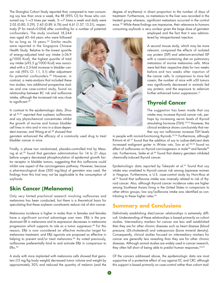The Shanghai Cohort Study reported that, compared to men consuming soy less than once a week, the RR (95% CI) for those who consumed soy 1–<3 times per week, 3–<7 times a week and daily were 2.05 (0.80, 5.29), 2.45 (0.89, 6.76) and 4.61 (1.57, 13.51), respectively (P for trend=0.004) after controlling for a number of potential

confounders. The study involved 18,244 men aged 45–64 years who were followed for as long as 16 years.44 Similar results were reported in the Singapore Chinese Health Study. Relative to the lowest quartile of energy-adjusted total soy intake (<36.9 g/1000 Kcal), the highest quartile of total soy intake (≥92.5 g/1000 Kcal) was associated with a 2.3-fold increase in bladder cancer risk (95% CI: 1.1, 5.1) after adjustment for potential confounders.45 However, in contrast, a meta-analysis that included these two studies, two additional prospective studies and one case-control study, found no relationship between BC risk and isoflavone intake, although the increased risk was close to significant.<sup>29</sup>

In contrast to the epidemiologic data, Zhou et al.46,47 reported that soybean isoflavones and soy phytochemical concentrates inhibit the growth of murine and human bladder cell lines in vitro and in vivo in a dose-dependent manner, and Wang et al.<sup>48</sup> showed that

genistein enhanced the efficacy of a commonly used drug to treat bladder cancer in mice.

Finally, a phase two randomized, placebo-controlled trial by Messing et al.39 found that genistein administration for 14 to 21 days before surgery decreased phosphorylation of epidermal growth factor receptor in bladder tumors, suggesting that this isoflavone could inhibit one aspect of the carcinogenesis pathway. However, because a pharmacological dose (300 mg/day) of genistein was used, the findings from this trial may not be applicable to the consumption of soyfoods.

### **Skin Cancer (Melanoma)**

Only very limited preclinical research involving isoflavones and melanoma has been conducted, but there is a theoretical basis for speculating that these soybean constituents reduce risk of skin cancer.

Melanoma incidence is higher in males than in females and females have a significant survival advantage over men. ERβ is the predominant ER in melanoma and its expression decreases in melanoma progression which supports its role as a tumor suppressor.<sup>49</sup> For this reason, ERβ is now considered an effective molecular target for melanoma treatment, and ERβ agonists are proposed as effective in helping to prevent and/or treat melanoma.<sup>49</sup> As noted previously, isoflavones preferentially bind to and activate ERβ in comparison to ER $\alpha$ .<sup>30</sup>

A study with mice implanted with melanoma cells showed that genistein (15 mg/kg body weight) decreased tumor volume and weight by approximately 30% and reduced the quantity of melanin (and the



degree of erythema) in direct proportion to the number of days of treatment. Furthermore, no metastasis to the liver was recorded in the treated group whereas, significant metastasis occurred in the control mice.50 While these findings are impressive, their relevance to humans consuming soyfoods is very unclear given the large dose of genistein

> employed and the fact that it was administered by intraperitoneal injection.

A second mouse study, which may be more relevant, compared the effects of isolated soy protein (ISP) and selenium-enriched ISP with a casein-containing diet on pulmonary metastasis of murine melanoma cells. Mice were fed their respective diets for two weeks before and two weeks after injection of the cancer cells. In comparison to mice fed casein, the number of mice with ≥50 tumors was significantly decreased in animals fed soy protein, and the exposure to selenium further enhanced tumor suppression.<sup>51</sup>

## **Thyroid Cancer**

The suggestion has been made that soy intake may increase thyroid cancer risk, perhaps by increasing serum levels of thyroid stimulating hormone (TSH).<sup>52-54</sup> However, the clinical evidence shows conclusively that neither soy nor isoflavones increase TSH levels

in people with normal-functioning thyroids.<sup>55,56</sup> Furthermore, although Kimura et al.57 found that the addition of soy to iodine-deficient diets increased malignant goiter in Wistar rats, Son et al.58,59 found no effect of isoflavones on thyroid carcinogenesis in male<sup>58</sup> and female<sup>59</sup> rats. Furthermore, Seike et al.<sup>60</sup> found that dietary genistein inhibited chemically-induced thyroid cancer.

Epidemiologic data reported by Takezaki et al.<sup>61</sup> found that soy intake was unrelated to thyroid cancer risk among Japanese women in Nagoya. Furthermore, a U.S. case-control study by Horn-Ross et al.62 found that isoflavone intake was inversely related to risk of thyroid cancer. Also, although thyroid cancer incidence rates are higher among Southeast Asians living in the United States in comparison to other ethnic groups, low soy/isoflavone intake was identified as contributing to these higher rates.<sup>63</sup>

### **Summary and Conclusions**

Definitively establishing diet/cancer relationships is extremely difficult. Understanding of these relationships is based primarily on cohort studies. Intermediary markers for cancer are less well established then they are for other chronic diseases such as heart disease (blood pressure, LDL-cholesterol) and osteoporosis (bone mineral density). Consequently, clinical studies focused on intermediary markers for cancer are generally less revealing than they are for other chronic diseases. Although animal studies are widely used in cancer research, they often fall short of being able to predict human responses.<sup>64,65</sup>

Of the cancers addressed above, the epidemiologic data are most supportive of a protective effect of soy against EC and CRC although this support is based primarily on case-control rather than cohort stud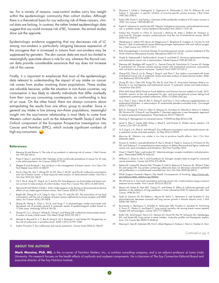ies. For a variety of reasons, case-control studies carry less weight within the epidemiologic community than cohort studies. Although there is a theoretical basis for soy reducing risk of these cancers, clinical data are lacking. In contrast, the rather limited epidemiologic data suggest that soy could increase risk of BC; however, the animal studies show just the opposite.

Epidemiologic evidence suggesting that soy decreases risk of LC among non-smokers is particularly intriguing because expression of the oncogene that is increased in tumors from non-smokers may be suppressed by genistein. The skin cancer data are much too limited to meaningfully speculate about a role for soy, whereas the thyroid cancer data provide considerable assurance that soy does not increase risk of this cancer.

Finally, it is important to emphasize that most of the epidemiologic data relevant to understanding the impact of soy intake on cancer risk comes from studies involving Asian populations. These studies are valuable because, unlike the situation in non-Asian countries, soy consumption is less likely to identify individuals that differ markedly from their non-soy consuming counterparts, so confounding is less of an issue. On the other hand, there are always concerns about extrapolating the results from one ethnic group to another. Since in general soy intake is low among non-Asian populations, meaningful insight into the soy/cancer relationship is most likely to come from Western cohort studies such as the Adventist Health Study-2 and the Oxford component of the European Prospective Investigation into Cancer and Nutrition (EPIC), which include significant numbers of high-soy-consumers.

#### **References:**

- 1. Messina M and Barnes S. The role of soy products in reducing risk of cancer*.* J Natl Cancer Inst 1991;83:541-6.
- 2. Pisani P, Bray F, and Parkin DM. Estimates of the world-wide prevalence of cancer for 25 sites in the adult population*.* Int J Cancer 2002;97:72-81.
- 3. Magee PJ and Rowland I. Soy products in the management of breast cancer*.* Curr Opin Clin Nutr Metab Care 2012;15:586-91.
- 4. Xie Q, Chen ML, Qin Y, Zhang QY, Xu HX, Zhou Y, Mi MT, and Zhu JD. Isoflavone consumption and risk of breast cancer: a dose-response meta-analysis of observational studies*.* Asia Pac J Clin Nutr 2013;22:118-27.
- 5. Chi F, Wu R, Zeng YC, Xing R, Liu Y, and Xu ZG. Post-diagnosis soy food intake and breast cancer survival: A meta-analysis of cohort studies*.* Asian Pac J Cancer Prev 2013;14:2407-2412.
- 6. Messina M and Hilakivi-Clarke L. Early intake appears to be the key to the proposed protective effects of soy intake against breast cancer*.* Nutr Cancer 2009;61:792-8.
- 7. Baglia ML, Zheng W, Li H, Yang G, Gao J, Gao YT, and Shu XO. The association of soy food consumption with the risk of subtype of breast cancers defined by hormone receptor and HER2 status*.* Int J Cancer 2016;139:742-8.
- 8. Zhang M, Wang K, Chen L, Yin B, and Song Y. Is phytoestrogen intake associated with decreased risk of prostate cancer? A systematic review of epidemiological studies based on 17,546 cases*.* Andrology 2016;4:745-56.
- 9. Zhang HY, Cui J, Zhang Y, Wang ZL, Chong T, and Wang ZM. Isoflavones and prostate cancer: A review of some critical issues*.* Chin Med J (Engl) 2016;129:341-7.
- 10. Ahmad A, Biersack B, Li Y, Bao B, Kong D, Ali S, Banerjee S, and Sarkar FH. Perspectives on the role of isoflavones in prostate cancer*.* AAPS J 2013;15:991-1000.
- 11. Sarkar FH and Li Y. Soy isoflavones and cancer prevention*.* Cancer Invest 2003;21:744-57.
- 12. Akiyama T, Ishida J, Nakagawa S, Ogawara H, Watanabe S, Itoh N, Shibuya M, and Fukami Y. Genistein, a specific inhibitor of tyrosine-specific protein kinases*.* J Biol Chem 1987;262:5592-5.
- 13. Parkin DM, Pisani P, and Ferlay J. Estimates of the worldwide incidence of 25 major cancers in 1990*.* Int J Cancer 1999;80:827-41.
- 14. Kaaks R, Lukanova A, and Kurzer MS. Obesity, endogenous hormones, and endometrial cancer risk: a synthetic review*.* Cancer Epidemiol Biomarkers Prev 2002;11:1531-43.
- 15. Ashton KA, Proietto A, Otton G, Symonds I, McEvoy M, Attia J, Gilbert M, Hamann U, and Scott RJ. Estrogen receptor polymorphisms and the risk of endometrial cancer*.* BJOG 2009;116:1053-61.
- 16. Weiderpass E, Adami HO, Baron JA, Magnusson C, Bergstrom R, Lindgren A, Correia N, and Persson I. Risk of endometrial cancer following estrogen replacement with and without progestins*.* J Natl Cancer Inst 1999;91:1131-7.
- 17. Role of progestogen in hormone therapy for postmenopausal women: position statement of The North American Menopause Society*.* Menopause 2003;10:113-32.
- 18. Grady D, Gebretsadik T, Kerlikowske K, Ernster V, and Petitti D. Hormone replacement therapy and endometrial cancer risk: a meta-analysis*.* Obstet Gynecol 1995;85:304-13.
- 19. Sherman ME, Madigan MP, Lacey JV, Jr., Garcia-Closas M, Potischman N, Carreon JD, Hartge P, and Brinton LA. Ovarian volumes among women with endometrial carcinoma: associations with risk factors and serum hormones*.* Gynecol Oncol 2007;107:431-5.
- 20. Zhang GQ, Chen JL, Liu Q, Zhang Y, Zeng H, and Zhao Y. Soy intake is associated with lower endometrial cancer risk: A systematic review and meta-analysis of observational studies*.* Medicine (Baltimore) 2015;94:e2281.
- 21. Zhong XS, Ge J, Chen SW, Xiong YQ, Ma SJ, and Chen Q. Association between dietary iso-flavones in soy and legumes and endometrial cancer: A systematic review and meta-analysis*.* J Acad Nutr Diet 2016
- 22. EFSA ANS Panel (EFSA Panel on Food Additives and Nutrient Sources added to Food), 2015. Scientific opinion on the risk assessment for peri- and post-menopausal women taking food supplements containing isolated isoflavones*.* EFSA J;13:4246 (342 pp).
- 23. Liu J, Yuan F, Gao J, Shan B, Ren Y, Wang H, and Gao Y. Oral isoflavone supplementation on endometrial thickness: a meta-analysis of randomized placebo-controlled trials*.* Oncotarget 2016;7:17369-79.
- 24. Bitto A, Granese R, Triolo O, Villari D, Maisano D, Giordano D, Altavilla D, Marini H, Adamo EB, Nicotina PA, D'Anna R, and Squadrito F. Genistein aglycone: a new therapeutic approach to reduce endometrial hyperplasia*.* Phytomedicine 2010;17:844-50.
- 25. Stintzing S. Management of colorectal cancer*.* F1000Prime Rep 2014;6:108.
- 26. Jemal A, Bray F, Center MM, Ferlay J, Ward E, and Forman D. Global cancer statistics*.* CA Cancer J Clin 2011;61:69-90.
- 27. Yu Y, Jing X, Li H, Zhao X, and Wang D. Soy isoflavone consumption and colorectal cancer risk: a systematic review and meta-analysis*.* Sci Rep 2016;6:25939.
- 28. Messina M. Western soy intake is too low to produce health effects*.* Am J Clin Nutr 2004;80:528-9.
- 29. Grosso G, Godos J, Lamuela-Raventos R, Ray S, Micek A, Pajak A, Sciacca S, D'Orazio N, Rio DD, and Galvano F. A comprehensive meta-analysis on dietary flavonoid and lignan intake and cancer risk: level of evidence and limitations*.* Mol Nutr Food Res 2016
- 30. Oseni T, Patel R, Pyle J, and Jordan VC. Selective estrogen receptor modulators and phytoestrogens*.* Planta Med 2008;74:1656-65.
- 31. Williams C, DiLeo A, Niv Y, and Gustafsson JA. Estrogen receptor beta as target for colorectal cancer prevention*.* Cancer Lett 2016;372:48-56.
- 32. Adams KF, Lampe PD, Newton KM, Ylvisaker JT, Feld A, Myerson D, Emerson SS, White E, Potter JD, and Lampe JW. Soy protein containing isoflavones does not decrease colorectal epithelial cell proliferation in a randomized controlled trial*.* Am J Clin Nutr 2005;82:620-6.
- 33. 2004 Surgeon General's Report-The Health Consequences of Smoking. https://[www.cdc.](http://www.cdc.gov/tobacco/data_statistics/sgr/2004/)) [gov/tobacco/data\\_statistics/sgr/2004/\)](http://www.cdc.gov/tobacco/data_statistics/sgr/2004/))*.*
- 34. Wu SH and Liu Z. Soy food consumption and lung cancer risk: a meta-analysis using a common measure across studies*.* Nutr Cancer 2013;65:625-32.
- 35. Menon LG, Kuttan R, Nair MG, Chang YC, and Kuttan G. Effect of isoflavones genistein and daidzein in the inhibition of lung metastasis in mice induced by B16F-10 melanoma cells*.* Nutr Cancer 1998;30:74-7.
- 36. Gallo D, Zannoni GF, De Stefano I, Mosca M, Ferlini C, Mantuano E, and Scambia G. Soy phytochemicals decrease nonsmall cell lung cancer growth in female athymic mice*.* J Nutr 2008;138:1360-4.
- 37. Bouchardy C, Benhamou S, Schaffar R, Verkooijen HM, Fioretta G, Schubert H, Vinh-Hung V, Soria JC, Vlastos G, and Rapiti E. Lung cancer mortality risk among breast cancer patients treated with anti-estrogens*.* Cancer 2011;117:1288-95.
- 38. Rudin CM, Avila-Tang E, Harris CC, Herman JG, Hirsch FR, Pao W, Schwartz AG, Vahakangas KH, and Samet JM. Lung cancer in never smokers: molecular profiles and therapeutic implica-tions*.* Clin Cancer Res 2009;15:5646-61.
- 39. Messing E, Gee JR, Saltzstein DR, Kim K, diSant'Agnese A, Kolesar J, Harris L, Faerber A, Havi-

Continued on pg. 6

#### **ABOUT THE AUTHOR**

**Mark Messina, PhD, MS,** is the co-owner of Nutrition Matters, Inc., a nutrition consulting company, and is an adjunct professor at Loma Linda University. His research focuses on the health effects of soyfoods and soybean components. He is chairman of *The Soy Connection* Editorial Board and executive director of the Soy Nutrition Institute.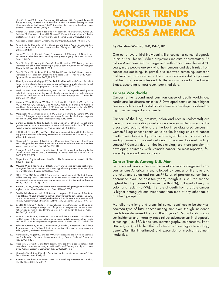ghurst T, Young JM, Efros M, Getzenberg RH, Wheeler MA, Tangrea J, Parnes H, House M, Busby JE, Hohl R, and Bailey H. A phase 2 cancer chemoprevention<br>biomarker trial of isoflavone G-2535 (genistein) in presurgical bladder cancer<br>patients. Cancer Prev Res (Phila) 2012;5:621-30.

- 40. Hillman GG, Singh-Gupta V, Lonardo F, Hoogstra DJ, Abernathy LM, Yunker CK, Rothstein SE, Rakowski J, Sarkar FH, Gadgeel S, Konski AA, and Joiner MC. Radio-protection of lung tissue by soy isoflavones*.* J Thorac Oncol 2013;8:1356-64.
- 41. American Cancer Society, *Cancer Facts and Figures 2016*2016, Atlanta, GA.
- 42. Yang Y, Xie L, Zheng JL, Tan YT, Zhang W, and Xiang YB. Incidence trends of urinary bladder and kidney cancers in urban Shanghai, 1973-2005*.* PLoS One 2013;8:e82430.
- 43. Kakehi Y, Hirao Y, Kim WJ, Ozono S, Masumori N, Miyanaga N, Nasu Y, and Yokomizo A. Bladder Cancer Working Group report*.* Jpn J Clin Oncol 2010;40 Suppl 1:i57-64.
- Sun CL, Yuan JM, Wang XL, Gao YT, Ross RK, and Yu MC. Dietary soy and increased risk of bladder cancer: a prospective cohort study of men in Shanghai, China*.* Int J Cancer 2004;112:319-23.
- 45. Sun CL, Yuan JM, Arakawa K, Low SH, Lee HP, and Yu MC. Dietary soy and increased risk of bladder cancer: the Singapore Chinese Health Study*.* Cancer Epidemiol Biomarkers Prev 2002;11:1674-7.
- 46. Zhou JR, Mukherjee P, Gugger ET, Tanaka T, Blackburn GL, and Clinton SK. Inhibi-tion of murine bladder tumorigenesis by soy isoflavones via alterations in the cell cycle, apoptosis, and angiogenesis*.* Cancer Res 1998;58:5231-8.
- 47. Singh AV, Franke AA, Blackburn GL, and Zhou JR. Soy phytochemicals prevent orthotopic growth and metastasis of bladder cancer in mice by alterations of cancer cell proliferation and apoptosis and tumor angiogenesis*.* Cancer Res 2006;66:1851-1858.
- 48. Wang Y, Wang H, Zhang W, Shao C, Xu P, Shi CH, Shi JG, Li YM, Fu Q, Xue W, Lei YH, Gao JY, Wang JY, Gao XP, Li JQ, Yuan JL, and Zhang YT. Genistein sensitizes bladder cancer cells to HCPT treatment in vitro and in vivo via ATM/ NF-kappaB/IKK pathway-induced apoptosis*.* PLoS One 2013;8:e50175.
- 49. Marzagalli M, Montagnani Marelli M, Casati L, Fontana F, Moretti RM, and Limonta P. Estrogen receptor beta in melanoma: From molecular insights to potential clinical utility*.* Front Endocrinol (Lausanne) 2016;7:140.
- 50. Danciu C, Borcan F, Bojin F, Zupko I, and Dehelean C. Effect of the isoflavone genistein on tumor size, metastasis potential and melanization in a B16 mouse model of murine melanoma*.* Nat Prod Commun 2013;8:343-6.
- 51. Li D, Graef GL, Yee JA, and Yan L. Dietary supplementation with high-selenium soy protein reduces pulmonary metastasis of melanoma cells in mice*.* J Nutr 2004;134:1536-40.
- 52. Fitzgerald G, Harbige LS, Forti A, and Crawford MA. The effect of nutritional counselling on diet and plasma EFA status in multiple sclerosis patients over three years*.* Hum Nutr Appl Nutr 1987;41:297-310.
- 53. Doerge D and Chang H. Inactivation of thyroid peroxidase by soy isofla-vones, in vitro and in vivo*.* J Chromatogr B Analyt Technol Biomed Life Sci vones, in vitro and<br>2002:777:269-279.
- 54. Fitzpatrick M. Soy formulas and the effects of isoflavones on the thyroid*.* N Z Med J 2000;113:24-6.
- 55. Messina M and Redmond G. Effects of soy protein and soybean isoflavones on thyroid function in healthy adults and hypothyroid patients: a review of the relevant literature*.* Thyroid 2006;16:249-58.
- 56. EFSA. EFSA ANS Panel (EFSA Panel on Food Additives and Nutrient Sources added to Food), 2015. Scientific opinion on the risk assessment for peri- and postmenopausal women taking food supplements containing isolated isoflavones. EFSA J. 13,4246 (342 pp). 2015
- 57. Kimura S, Suwa J, Ito M, and Sato H. Development of malignant goiter by defatted soybean with iodine-free diet in rats*.* Gann 1976;67:763-5.
- 58. Son HY, Nishikawa A, Ikeda T, Nakamura H, Miyauchi M, Imazawa T, Furukawa F, and Hirose M. Lack of modifying effects of environmental estrogenic compounds on the development of thyroid proliferative lesions in male rats pretreated with N-bis(2-hydroxypropyl)nitrosamine (DHPN)*.* Jpn J Cancer Res 2000;91:899-905.
- 59. Son HY, Nishikawa A, Ikeda T, Furukawa F, and Hirose M. Lack of modification by environmental estrogenic compounds of thyroid carcinogenesis in ovariectomized rats pretreated with N-bis(2-hydroxypropyl)nitrosamine (DHPN)*.* Jpn J Cancer Res 2000;91:966-72.
- 60. Seike N, Wanibuchi H, Morimura K, Wei M, Nishikawa T, Hirata K, Yoshikawa J, and Fukushima S. Enhancement of lung carcinogenesis by nonylphenol and genistein in a F344 rat multiorgan carcinogenesis model*.* Cancer Lett 2003;192:25-36.
- 61. Takezaki T, Hirose K, Inoue M, Hamajima N, Kuroishi T, Nakamura S, Koshikawa T, Matsuura H, and Tajima K. Risk factors of thyroid cancer among women in Tokai, Japan*.* J Epidemiol 1996;6:140-7.
- 62. Horn-Ross PL, Hoggatt KJ, and Lee MM. Phytoestrogens and thyroid cancer risk: the San Francisco Bay Area thyroid cancer study*.* Cancer Epidemiol Biomarkers Prev 2002;11:43-9.
- 63. Haselkorn T, Stewart SL, and Horn-Ross PL. Why are thyroid cancer rates so high in southeast asian women living in the United States? The bay area thyroid cancer study*.* Cancer Epidemiol Biomarkers Prev 2003;12:144-50.
- 64. Shanks N, Greek R, and Greek J. Are animal models predictive for humans? Philos Ethics Humanit Med 2009;4:2.
- 65. Akhtar A. The flaws and human harms of animal experimentation*.* Camb Q Healthc Ethics 2015;24:407-19.

## **CANCER TRENDS WORLDWIDE AN ACROSS AMERICA**

#### **By Christine Werner, PhD, PA-C, RD**

One out of every third individual will encounter a cancer diagnosis in his or her lifetime.<sup>1</sup> While projections indicate approximately 22 million Americans will be diagnosed with cancer over the next 20 years, more people are surviving their cancers and death rates from cancer are declining,<sup>1</sup> in part due to improved screening, detection and treatment advancements. This article describes distinct patterns and trends of cancer rates and deaths worldwide and in the United States, according to most recent published data.

#### **Cancer Worldwide**

Cancer is the second most common cause of death worldwide; cardiovascular disease ranks first.2 Developed countries have higher cancer incidence and mortality rates than less developed or developing countries, regardless of gender.

Cancers of the lung, prostate, colon and rectum (colorectal) are the most commonly diagnosed cancers in men while cancers of the breast, colorectal and lung are the top three diagnosed cancers in women.2 Lung cancer continues to be the leading cause of cancer death in men followed by prostate cancer, while breast cancer is the leading cause of cancer-related death in women, followed by lung cancer.2,3 Cancers due to infectious etiology are more prevalent in developing countries, with stomach cancer the most reported, followed by liver and cervix cancers.

#### **Cancer Trends Among U.S. Men**

Prostate and skin cancer are the most commonly diagnosed cancers among American men, followed by cancer of the lung and bronchus and colon and rectum.3,4 Rates of prostate cancer have decreased over the past ten years, though it is still the second highest leading cause of cancer death (8%), followed closely by colon and rectum (8–9%). The rate of death from prostate cancer is higher among African Americans than men of any other racial or ethnic groups.<sup>2,5</sup>

Mortality from lung and bronchial cancer continues to be *the most common* type of fatal cancer among men even though incidence trends have decreased the past 10-15 years.<sup>1-3</sup> Many trends in cancer incidence and mortality rates reflect advancement in diagnostic screenings (i.e., PSA blood test, mammography, colonoscopy, Pap/ HBV test, etc.), public health/risk factor education (cigarette smoking, genetic/familial inheritance) and expansion of medical treatment modalities.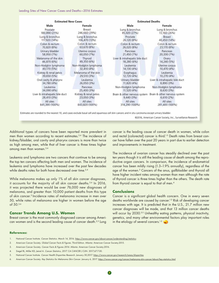| <b>Estimated New Cases</b>     |                       | <b>Estimated Deaths</b>        |                                |
|--------------------------------|-----------------------|--------------------------------|--------------------------------|
| Male                           | Female                | Male                           | Female                         |
| Prostate                       | <b>Breast</b>         | Lung & bronchus                | Lung & bronchus                |
| 180,890 (21%)                  | 246,660 (29%)         | 85,920 (27%)                   | 72,160 (26%)                   |
| Lung & bronchus                | Lung & bronchus       | Prostate                       | Breast                         |
| 117,920 (14%)                  | 106,470 (13%)         | 26,120 (8%)                    | 40,450 (14%)                   |
| Colon & rectum                 | Colon & rectum        | Colon & rectum                 | Colon & rectum                 |
| 70,820 (8%)                    | 63,670 (8%)           | 26,020 (8%)                    | 23,170 (8%)                    |
| Urinary bladder                | Uterine corpus        | Pancreas                       | Pancreas                       |
| 58,950 (7%)                    | 60,050 (7%)           | 21,450 (7%)                    | 20,330 (7%)                    |
| Melanoma of the skin           | Thyroid               | Liver & intrahepatic bile duct | Ovary                          |
| 46,870 (6%)                    | 49,350 (6%)           | 18,280 (6%)                    | 14,240 (5%)                    |
| Non-Hodgkin lymphoma           | Non-Hodgkin lymphoma  | Leukemia                       | Uterine corpus                 |
| 40,170 (5%)                    | 32,410 (4%)           | 14,130 (4%)                    | 10,470 (4%)                    |
| Kidney & renal pelvis          | Melanoma of the skin  | Esophagus                      | Leukemia                       |
| 39,650 (5%)                    | 29,510 (3%)           | 12,720 (4%)                    | 10,270 (4%)                    |
| Oral cavity & pharynx          | Leukemia              | Urinary bladder                | Liver & intrahepatic bile duct |
| 34,780 (4%)                    | 26,050 (3%)           | 11,820 (4%)                    | 8,890 (3%)                     |
| Leukemia                       | Pancreas              | Non-Hodgkin lymphoma           | Non-Hodgkin lymphoma           |
| 34,090 (4%)                    | 25,400 (3%)           | 11,520 (4%)                    | 8,630 (3%)                     |
| Liver & intrahepatic bile duct | Kidney & renal pelvis | Brain & other nervous system   | Brain & other nervous system   |
| 28,410 (3%)                    | 23,050 (3%)           | 9,440 (3%)                     | 6,610(2%)                      |
| All sites                      | All sites             | All sites                      | All sites                      |
| 841,390 (100%)                 | 843,820 (100%)        | 314,290 (100%)                 | 281,400 (100%)                 |

Estimates are rounded to the nearest 10, and cases exclude basal cell and squamous cell skin cancers and in situ carcinoma except urinary bladder.

@2016, American Cancer Society, Inc., Surveillance Research

Additional types of cancers have been reported more prevalent in men than women according to recent estimates.3,4 The incidence of kidney/bladder, oral cavity and pharynx cancers is more than twice as high among men, while that of liver cancer is three times higher among men than women.<sup>3,4</sup>

Leukemia and lymphoma are two cancers that continue to be among the top ten cancers affecting both men and women. The incidence of leukemia and lymphoma have increased over the past few decades while deaths rates for both have decreased over time.<sup>2,4</sup>

While melanoma makes up only 1% of all skin cancer diagnoses, it accounts for the majority of all skin cancer deaths.<sup>3,6</sup> In 2016, it was projected there would be over 76,000 new diagnoses of melanoma, and greater than 10,000 patient deaths from this type of skin cancer.3 Incidence rates of melanoma increase in men over 50, while rates of melanoma are higher in women before the age of 50.3,6

#### **Cancer Trends Among U.S. Women**

Breast cancer is the most commonly diagnosed cancer among American women and is the second leading cause of cancer death.<sup>2,3</sup> Lung

cancer is the leading cause of cancer death in women, while colon and rectal (colorectal) cancer is third.<sup>1-3</sup> Death rates from breast cancer have fallen over the past 20 years in part due to earlier detection and improvements in treatment.

The incidence of ovarian cancer has steadily declined over the past ten years though it is still the leading cause of death among the reproductive organ cancers. In comparison, the incidence of endometrial cancer has been mildly rising (1.3–1.9% annually), regardless of the age of the women.<sup>3</sup> Cancers of the anus, gallbladder and thyroid all have higher incident rates among women than men although the rate of thyroid cancer is three times higher than the others. The death rate from thyroid cancer is equal to that of men.4

#### **Conclusions**

Cancer is a significant global health concern. One in every seven deaths worldwide are caused by cancer.<sup>1-3</sup> Risk of developing cancer increases with age. It is predicted that in the U.S., 21.7 million new cancer diagnoses will be made, and that 13 million cancer deaths will occur by 2030.<sup>2-3</sup> Unhealthy eating patterns, physical inactivity, genetics, and many other environmental factors play important roles in the etiology of several cancers.<sup>1-3</sup>

#### **References:**

- 1. National Cancer Institute. *Cancer Statistics*. March 14, 2016. <https://www.cancer.gov/about-cancer/understanding/statistics>
- 2. American Cancer Society. *Global Cancer Facts & Figures*. Third Edition. Atlanta: American Cancer Society;2015.
- 3. American Cancer Society. *Cancer Facts & Figures 2016*. Atlanta: American Cancer Society;2016.
- 4. Siegel RL, Miller KD, Jemal A. *Cancer Statistics, 2017*. CA CANCER J CLIN. 2017;67:7-30.
- 5. National Cancer Institute. *Cancer Health Disparities Research*. January 30,2017.<https://www.cancer.gov/research/areas/disparities>
- 6. American Cancer Society. *Key Statistics for Melanoma Skin Cancer*. January 6, 2017. <https://www.cancer.org/cancer/melanoma-skin-cancer/about/key-statistics.html>